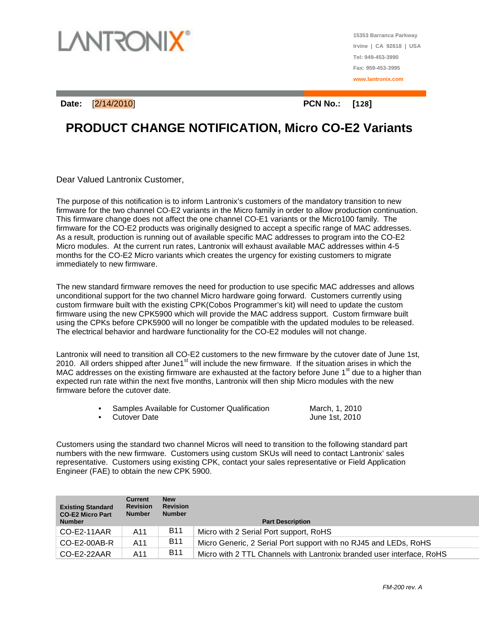

**15353 Barranca Parkway Irvine | CA 92618 | USA Tel: 949-453-3990 Fax: 959-453-3995 www.lantronix.com**

**Date:** [2/14/2010] **PCN No.: [128]**

## **PRODUCT CHANGE NOTIFICATION, Micro CO-E2 Variants**

Dear Valued Lantronix Customer,

The purpose of this notification is to inform Lantronix's customers of the mandatory transition to new firmware for the two channel CO-E2 variants in the Micro family in order to allow production continuation. This firmware change does not affect the one channel CO-E1 variants or the Micro100 family. The firmware for the CO-E2 products was originally designed to accept a specific range of MAC addresses. As a result, production is running out of available specific MAC addresses to program into the CO-E2 Micro modules. At the current run rates, Lantronix will exhaust available MAC addresses within 4-5 months for the CO-E2 Micro variants which creates the urgency for existing customers to migrate immediately to new firmware.

The new standard firmware removes the need for production to use specific MAC addresses and allows unconditional support for the two channel Micro hardware going forward. Customers currently using custom firmware built with the existing CPK(Cobos Programmer's kit) will need to update the custom firmware using the new CPK5900 which will provide the MAC address support. Custom firmware built using the CPKs before CPK5900 will no longer be compatible with the updated modules to be released. The electrical behavior and hardware functionality for the CO-E2 modules will not change.

Lantronix will need to transition all CO-E2 customers to the new firmware by the cutover date of June 1st, 2010. All orders shipped after June1st will include the new firmware. If the situation arises in which the MAC addresses on the existing firmware are exhausted at the factory before June  $1<sup>st</sup>$  due to a higher than expected run rate within the next five months, Lantronix will then ship Micro modules with the new firmware before the cutover date.

| Samples Available for Customer Qualification | March, 1, 2010 |
|----------------------------------------------|----------------|
| Cutover Date                                 | June 1st, 2010 |

Customers using the standard two channel Micros will need to transition to the following standard part numbers with the new firmware. Customers using custom SKUs will need to contact Lantronix' sales representative. Customers using existing CPK, contact your sales representative or Field Application Engineer (FAE) to obtain the new CPK 5900.

| <b>Existing Standard</b><br><b>CO-E2 Micro Part</b><br><b>Number</b> | <b>Current</b><br><b>Revision</b><br><b>Number</b> | <b>New</b><br><b>Revision</b><br><b>Number</b> | <b>Part Description</b>                                               |
|----------------------------------------------------------------------|----------------------------------------------------|------------------------------------------------|-----------------------------------------------------------------------|
| $CO-E2-11AAR$                                                        | A11                                                | <b>B11</b>                                     | Micro with 2 Serial Port support, RoHS                                |
| CO-E2-00AB-R                                                         | A11                                                | <b>B11</b>                                     | Micro Generic, 2 Serial Port support with no RJ45 and LEDs, RoHS      |
| $CO-E2-22AAR$                                                        | A11                                                | <b>B11</b>                                     | Micro with 2 TTL Channels with Lantronix branded user interface, RoHS |